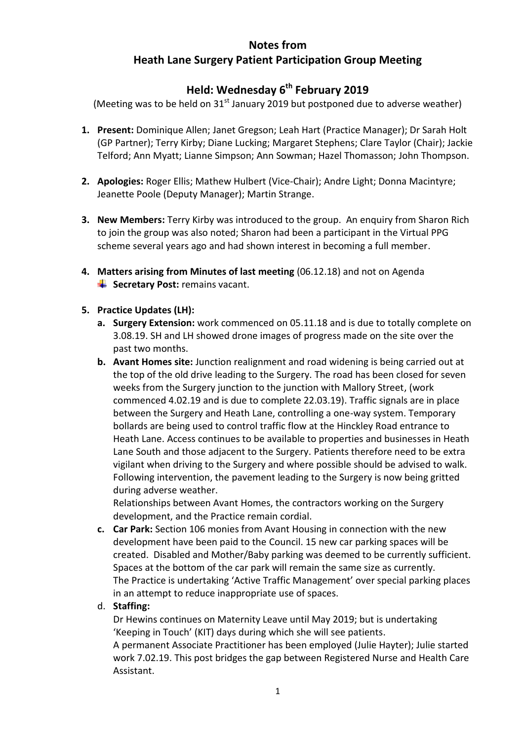## **Notes from Heath Lane Surgery Patient Participation Group Meeting**

# **Held: Wednesday 6th February 2019**

(Meeting was to be held on  $31<sup>st</sup>$  January 2019 but postponed due to adverse weather)

- **1. Present:** Dominique Allen; Janet Gregson; Leah Hart (Practice Manager); Dr Sarah Holt (GP Partner); Terry Kirby; Diane Lucking; Margaret Stephens; Clare Taylor (Chair); Jackie Telford; Ann Myatt; Lianne Simpson; Ann Sowman; Hazel Thomasson; John Thompson.
- **2. Apologies:** Roger Ellis; Mathew Hulbert (Vice-Chair); Andre Light; Donna Macintyre; Jeanette Poole (Deputy Manager); Martin Strange.
- **3. New Members:** Terry Kirby was introduced to the group. An enquiry from Sharon Rich to join the group was also noted; Sharon had been a participant in the Virtual PPG scheme several years ago and had shown interest in becoming a full member.
- **4. Matters arising from Minutes of last meeting** (06.12.18) and not on Agenda Secretary Post: remains vacant.

### **5. Practice Updates (LH):**

- **a. Surgery Extension:** work commenced on 05.11.18 and is due to totally complete on 3.08.19. SH and LH showed drone images of progress made on the site over the past two months.
- **b. Avant Homes site:** Junction realignment and road widening is being carried out at the top of the old drive leading to the Surgery. The road has been closed for seven weeks from the Surgery junction to the junction with Mallory Street, (work commenced 4.02.19 and is due to complete 22.03.19). Traffic signals are in place between the Surgery and Heath Lane, controlling a one-way system. Temporary bollards are being used to control traffic flow at the Hinckley Road entrance to Heath Lane. Access continues to be available to properties and businesses in Heath Lane South and those adjacent to the Surgery. Patients therefore need to be extra vigilant when driving to the Surgery and where possible should be advised to walk. Following intervention, the pavement leading to the Surgery is now being gritted during adverse weather.

Relationships between Avant Homes, the contractors working on the Surgery development, and the Practice remain cordial.

**c. Car Park:** Section 106 monies from Avant Housing in connection with the new development have been paid to the Council. 15 new car parking spaces will be created. Disabled and Mother/Baby parking was deemed to be currently sufficient. Spaces at the bottom of the car park will remain the same size as currently. The Practice is undertaking 'Active Traffic Management' over special parking places in an attempt to reduce inappropriate use of spaces.

### d. **Staffing:**

Dr Hewins continues on Maternity Leave until May 2019; but is undertaking 'Keeping in Touch' (KIT) days during which she will see patients.

A permanent Associate Practitioner has been employed (Julie Hayter); Julie started work 7.02.19. This post bridges the gap between Registered Nurse and Health Care Assistant.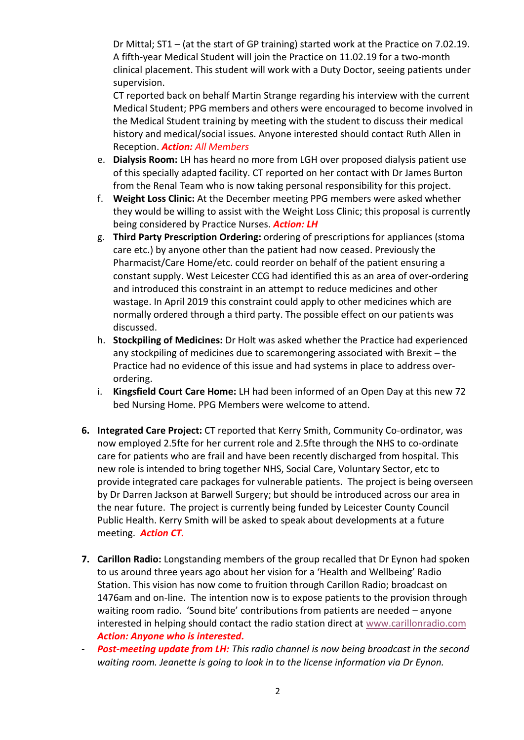Dr Mittal; ST1 – (at the start of GP training) started work at the Practice on 7.02.19. A fifth-year Medical Student will join the Practice on 11.02.19 for a two-month clinical placement. This student will work with a Duty Doctor, seeing patients under supervision.

CT reported back on behalf Martin Strange regarding his interview with the current Medical Student; PPG members and others were encouraged to become involved in the Medical Student training by meeting with the student to discuss their medical history and medical/social issues. Anyone interested should contact Ruth Allen in Reception. *Action: All Members*

- e. **Dialysis Room:** LH has heard no more from LGH over proposed dialysis patient use of this specially adapted facility. CT reported on her contact with Dr James Burton from the Renal Team who is now taking personal responsibility for this project.
- f. **Weight Loss Clinic:** At the December meeting PPG members were asked whether they would be willing to assist with the Weight Loss Clinic; this proposal is currently being considered by Practice Nurses. *Action: LH*
- g. **Third Party Prescription Ordering:** ordering of prescriptions for appliances (stoma care etc.) by anyone other than the patient had now ceased. Previously the Pharmacist/Care Home/etc. could reorder on behalf of the patient ensuring a constant supply. West Leicester CCG had identified this as an area of over-ordering and introduced this constraint in an attempt to reduce medicines and other wastage. In April 2019 this constraint could apply to other medicines which are normally ordered through a third party. The possible effect on our patients was discussed.
- h. **Stockpiling of Medicines:** Dr Holt was asked whether the Practice had experienced any stockpiling of medicines due to scaremongering associated with Brexit – the Practice had no evidence of this issue and had systems in place to address overordering.
- i. **Kingsfield Court Care Home:** LH had been informed of an Open Day at this new 72 bed Nursing Home. PPG Members were welcome to attend.
- **6. Integrated Care Project:** CT reported that Kerry Smith, Community Co-ordinator, was now employed 2.5fte for her current role and 2.5fte through the NHS to co-ordinate care for patients who are frail and have been recently discharged from hospital. This new role is intended to bring together NHS, Social Care, Voluntary Sector, etc to provide integrated care packages for vulnerable patients. The project is being overseen by Dr Darren Jackson at Barwell Surgery; but should be introduced across our area in the near future. The project is currently being funded by Leicester County Council Public Health. Kerry Smith will be asked to speak about developments at a future meeting. *Action CT.*
- **7. Carillon Radio:** Longstanding members of the group recalled that Dr Eynon had spoken to us around three years ago about her vision for a 'Health and Wellbeing' Radio Station. This vision has now come to fruition through Carillon Radio; broadcast on 1476am and on-line. The intention now is to expose patients to the provision through waiting room radio. 'Sound bite' contributions from patients are needed – anyone interested in helping should contact the radio station direct at [www.carillonradio.com](http://www.carillonradio.com/) *Action: Anyone who is interested.*
- **Post-meeting update from LH:** This radio channel is now being broadcast in the second *waiting room. Jeanette is going to look in to the license information via Dr Eynon.*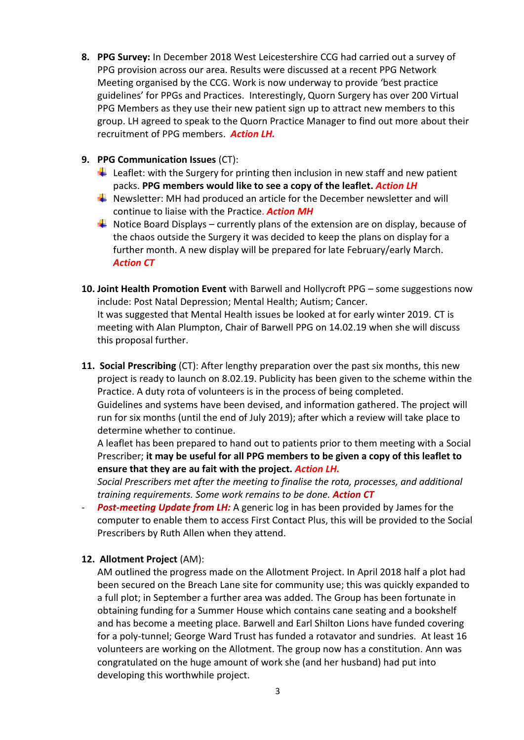- **8. PPG Survey:** In December 2018 West Leicestershire CCG had carried out a survey of PPG provision across our area. Results were discussed at a recent PPG Network Meeting organised by the CCG. Work is now underway to provide 'best practice guidelines' for PPGs and Practices. Interestingly, Quorn Surgery has over 200 Virtual PPG Members as they use their new patient sign up to attract new members to this group. LH agreed to speak to the Quorn Practice Manager to find out more about their recruitment of PPG members. *Action LH.*
- **9. PPG Communication Issues** (CT):
	- Leaflet: with the Surgery for printing then inclusion in new staff and new patient packs. **PPG members would like to see a copy of the leaflet.** *Action LH*
	- Newsletter: MH had produced an article for the December newsletter and will continue to liaise with the Practice. *Action MH*
	- $\bigstar$  Notice Board Displays currently plans of the extension are on display, because of the chaos outside the Surgery it was decided to keep the plans on display for a further month. A new display will be prepared for late February/early March. *Action CT*
- **10. Joint Health Promotion Event** with Barwell and Hollycroft PPG some suggestions now include: Post Natal Depression; Mental Health; Autism; Cancer. It was suggested that Mental Health issues be looked at for early winter 2019. CT is meeting with Alan Plumpton, Chair of Barwell PPG on 14.02.19 when she will discuss this proposal further.
- **11. Social Prescribing** (CT): After lengthy preparation over the past six months, this new project is ready to launch on 8.02.19. Publicity has been given to the scheme within the Practice. A duty rota of volunteers is in the process of being completed. Guidelines and systems have been devised, and information gathered. The project will run for six months (until the end of July 2019); after which a review will take place to

determine whether to continue.

A leaflet has been prepared to hand out to patients prior to them meeting with a Social Prescriber; **it may be useful for all PPG members to be given a copy of this leaflet to ensure that they are au fait with the project.** *Action LH.*

*Social Prescribers met after the meeting to finalise the rota, processes, and additional training requirements. Some work remains to be done. Action CT*

**Post-meeting Update from LH:** A generic log in has been provided by James for the computer to enable them to access First Contact Plus, this will be provided to the Social Prescribers by Ruth Allen when they attend.

### **12. Allotment Project** (AM):

AM outlined the progress made on the Allotment Project. In April 2018 half a plot had been secured on the Breach Lane site for community use; this was quickly expanded to a full plot; in September a further area was added. The Group has been fortunate in obtaining funding for a Summer House which contains cane seating and a bookshelf and has become a meeting place. Barwell and Earl Shilton Lions have funded covering for a poly-tunnel; George Ward Trust has funded a rotavator and sundries. At least 16 volunteers are working on the Allotment. The group now has a constitution. Ann was congratulated on the huge amount of work she (and her husband) had put into developing this worthwhile project.